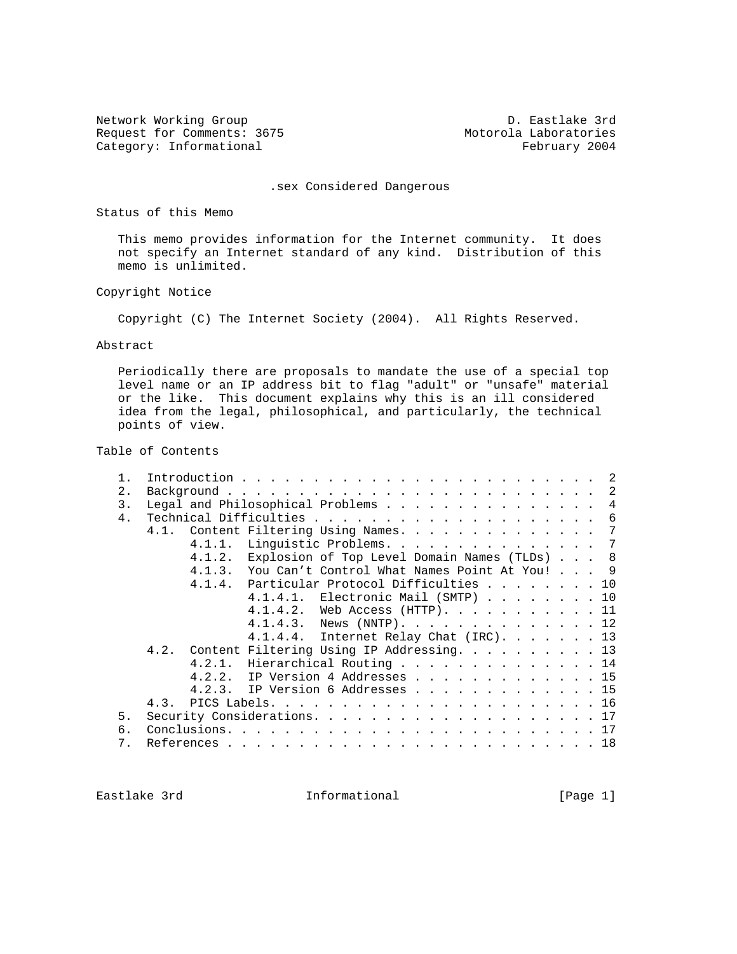Network Working Group D. Eastlake 3rd Request for Comments: 3675<br>
Category: Informational extended the Motorola Laboratories<br>
February 2004 Category: Informational

.sex Considered Dangerous

Status of this Memo

 This memo provides information for the Internet community. It does not specify an Internet standard of any kind. Distribution of this memo is unlimited.

Copyright Notice

Copyright (C) The Internet Society (2004). All Rights Reserved.

### Abstract

 Periodically there are proposals to mandate the use of a special top level name or an IP address bit to flag "adult" or "unsafe" material or the like. This document explains why this is an ill considered idea from the legal, philosophical, and particularly, the technical points of view.

# Table of Contents

| 2.    |                                                     |  |  |  |  |  |
|-------|-----------------------------------------------------|--|--|--|--|--|
| 3.    | Legal and Philosophical Problems 4                  |  |  |  |  |  |
| 4.    |                                                     |  |  |  |  |  |
|       | 4.1. Content Filtering Using Names. 7               |  |  |  |  |  |
|       | Linguistic Problems. 7<br>4.1.1.                    |  |  |  |  |  |
|       | 4.1.2. Explosion of Top Level Domain Names (TLDs) 8 |  |  |  |  |  |
|       | 4.1.3. You Can't Control What Names Point At You! 9 |  |  |  |  |  |
|       | 4.1.4. Particular Protocol Difficulties 10          |  |  |  |  |  |
|       | 4.1.4.1. Electronic Mail (SMTP) 10                  |  |  |  |  |  |
|       | 4.1.4.2. Web Access (HTTP). 11                      |  |  |  |  |  |
|       | 4.1.4.3. News (NNTP). 12                            |  |  |  |  |  |
|       | $4.1.4.4$ . Internet Relay Chat (IRC) 13            |  |  |  |  |  |
|       | 4.2. Content Filtering Using IP Addressing. 13      |  |  |  |  |  |
|       | 4.2.1. Hierarchical Routing 14                      |  |  |  |  |  |
|       | 4.2.2. IP Version 4 Addresses 15                    |  |  |  |  |  |
|       | 4.2.3. IP Version 6 Addresses 15                    |  |  |  |  |  |
|       |                                                     |  |  |  |  |  |
|       |                                                     |  |  |  |  |  |
| 5.    |                                                     |  |  |  |  |  |
| 6.    |                                                     |  |  |  |  |  |
| $7$ . |                                                     |  |  |  |  |  |

Eastlake 3rd **Informational Informational** [Page 1]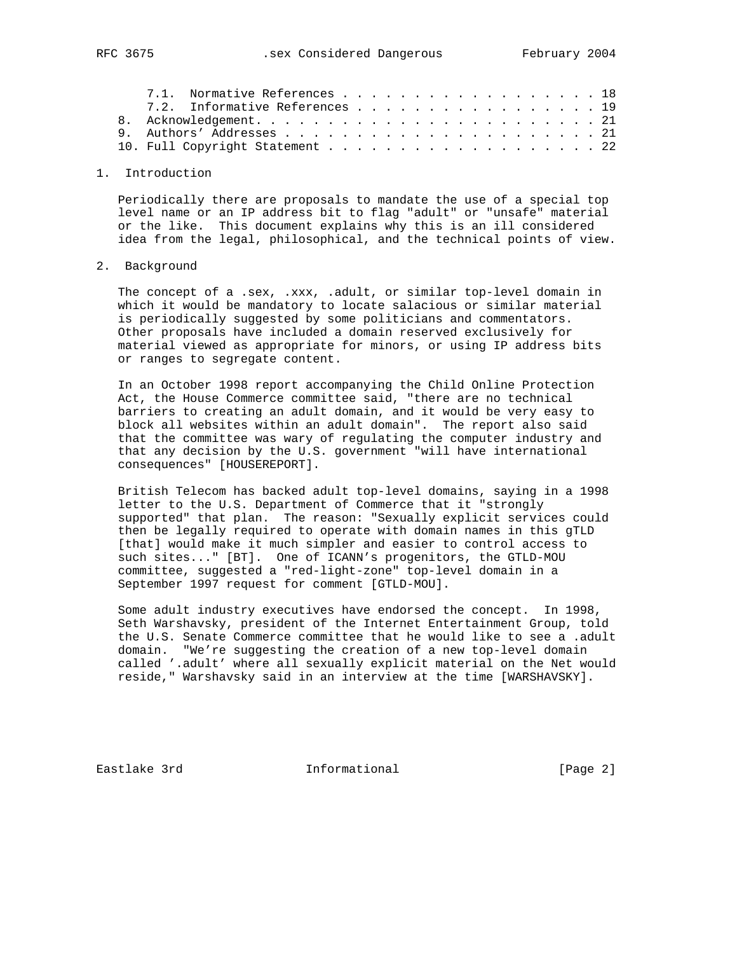|  | 7.1. Normative References 18    |  |  |  |  |  |  |  |  |  |  |
|--|---------------------------------|--|--|--|--|--|--|--|--|--|--|
|  | 7.2. Informative References 19  |  |  |  |  |  |  |  |  |  |  |
|  |                                 |  |  |  |  |  |  |  |  |  |  |
|  |                                 |  |  |  |  |  |  |  |  |  |  |
|  | 10. Full Copyright Statement 22 |  |  |  |  |  |  |  |  |  |  |
|  |                                 |  |  |  |  |  |  |  |  |  |  |

# 1. Introduction

 Periodically there are proposals to mandate the use of a special top level name or an IP address bit to flag "adult" or "unsafe" material or the like. This document explains why this is an ill considered idea from the legal, philosophical, and the technical points of view.

#### 2. Background

 The concept of a .sex, .xxx, .adult, or similar top-level domain in which it would be mandatory to locate salacious or similar material is periodically suggested by some politicians and commentators. Other proposals have included a domain reserved exclusively for material viewed as appropriate for minors, or using IP address bits or ranges to segregate content.

 In an October 1998 report accompanying the Child Online Protection Act, the House Commerce committee said, "there are no technical barriers to creating an adult domain, and it would be very easy to block all websites within an adult domain". The report also said that the committee was wary of regulating the computer industry and that any decision by the U.S. government "will have international consequences" [HOUSEREPORT].

 British Telecom has backed adult top-level domains, saying in a 1998 letter to the U.S. Department of Commerce that it "strongly supported" that plan. The reason: "Sexually explicit services could then be legally required to operate with domain names in this gTLD [that] would make it much simpler and easier to control access to such sites..." [BT]. One of ICANN's progenitors, the GTLD-MOU committee, suggested a "red-light-zone" top-level domain in a September 1997 request for comment [GTLD-MOU].

 Some adult industry executives have endorsed the concept. In 1998, Seth Warshavsky, president of the Internet Entertainment Group, told the U.S. Senate Commerce committee that he would like to see a .adult domain. "We're suggesting the creation of a new top-level domain called '.adult' where all sexually explicit material on the Net would reside," Warshavsky said in an interview at the time [WARSHAVSKY].

Eastlake 3rd **Informational** [Page 2]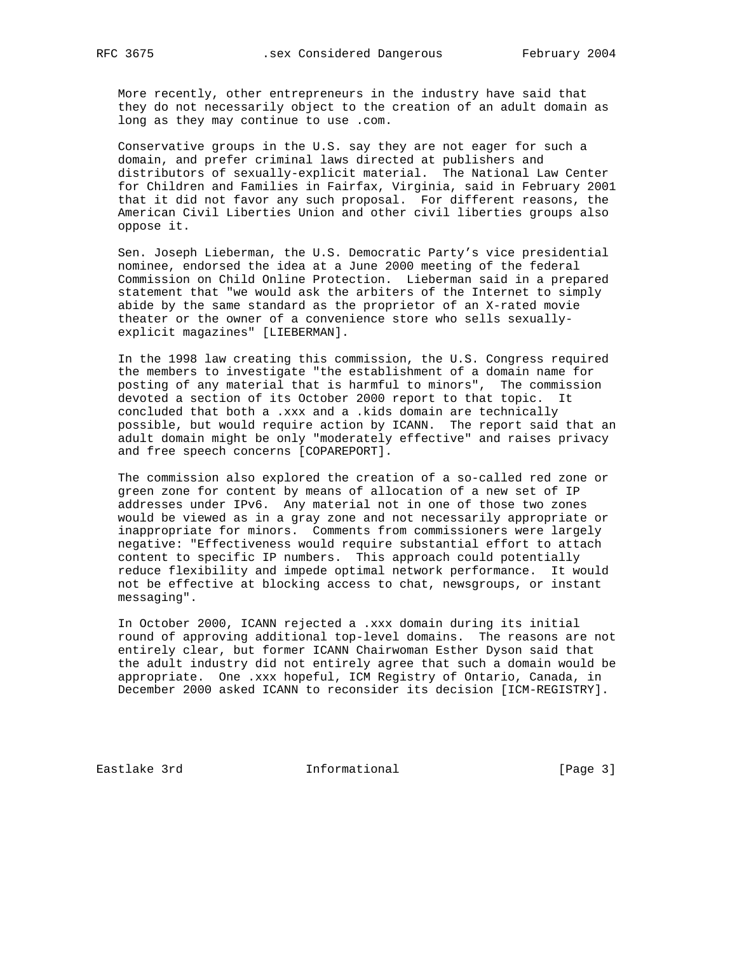More recently, other entrepreneurs in the industry have said that they do not necessarily object to the creation of an adult domain as long as they may continue to use .com.

 Conservative groups in the U.S. say they are not eager for such a domain, and prefer criminal laws directed at publishers and distributors of sexually-explicit material. The National Law Center for Children and Families in Fairfax, Virginia, said in February 2001 that it did not favor any such proposal. For different reasons, the American Civil Liberties Union and other civil liberties groups also oppose it.

 Sen. Joseph Lieberman, the U.S. Democratic Party's vice presidential nominee, endorsed the idea at a June 2000 meeting of the federal Commission on Child Online Protection. Lieberman said in a prepared statement that "we would ask the arbiters of the Internet to simply abide by the same standard as the proprietor of an X-rated movie theater or the owner of a convenience store who sells sexually explicit magazines" [LIEBERMAN].

 In the 1998 law creating this commission, the U.S. Congress required the members to investigate "the establishment of a domain name for posting of any material that is harmful to minors", The commission devoted a section of its October 2000 report to that topic. It concluded that both a .xxx and a .kids domain are technically possible, but would require action by ICANN. The report said that an adult domain might be only "moderately effective" and raises privacy and free speech concerns [COPAREPORT].

 The commission also explored the creation of a so-called red zone or green zone for content by means of allocation of a new set of IP addresses under IPv6. Any material not in one of those two zones would be viewed as in a gray zone and not necessarily appropriate or inappropriate for minors. Comments from commissioners were largely negative: "Effectiveness would require substantial effort to attach content to specific IP numbers. This approach could potentially reduce flexibility and impede optimal network performance. It would not be effective at blocking access to chat, newsgroups, or instant messaging".

 In October 2000, ICANN rejected a .xxx domain during its initial round of approving additional top-level domains. The reasons are not entirely clear, but former ICANN Chairwoman Esther Dyson said that the adult industry did not entirely agree that such a domain would be appropriate. One .xxx hopeful, ICM Registry of Ontario, Canada, in December 2000 asked ICANN to reconsider its decision [ICM-REGISTRY].

Eastlake 3rd **Informational** [Page 3]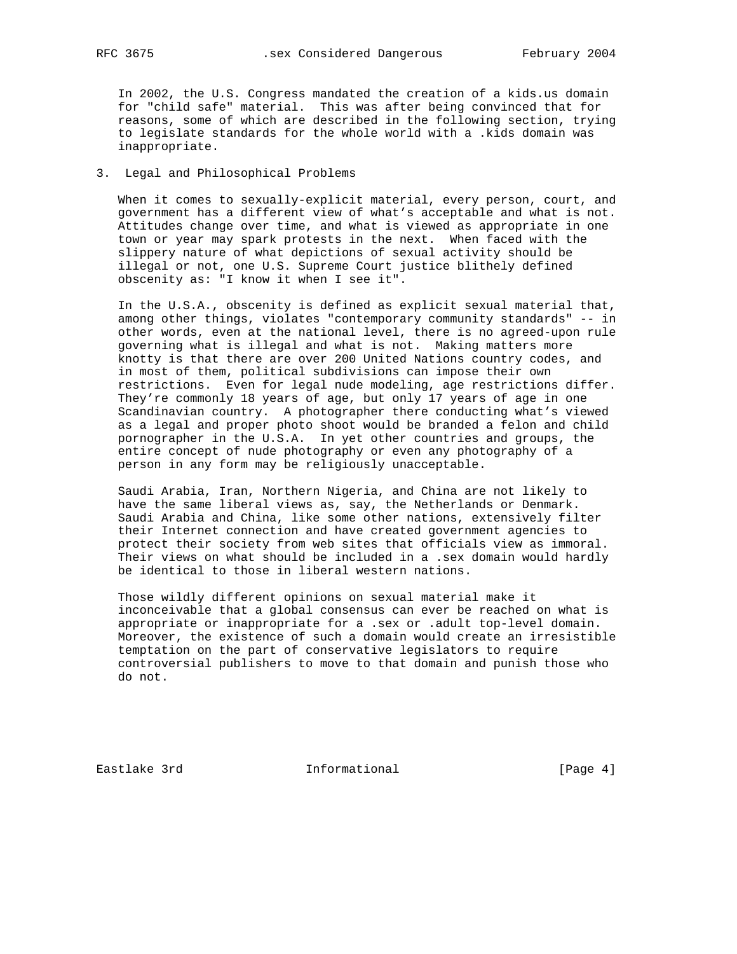In 2002, the U.S. Congress mandated the creation of a kids.us domain for "child safe" material. This was after being convinced that for reasons, some of which are described in the following section, trying to legislate standards for the whole world with a .kids domain was inappropriate.

# 3. Legal and Philosophical Problems

 When it comes to sexually-explicit material, every person, court, and government has a different view of what's acceptable and what is not. Attitudes change over time, and what is viewed as appropriate in one town or year may spark protests in the next. When faced with the slippery nature of what depictions of sexual activity should be illegal or not, one U.S. Supreme Court justice blithely defined obscenity as: "I know it when I see it".

 In the U.S.A., obscenity is defined as explicit sexual material that, among other things, violates "contemporary community standards" -- in other words, even at the national level, there is no agreed-upon rule governing what is illegal and what is not. Making matters more knotty is that there are over 200 United Nations country codes, and in most of them, political subdivisions can impose their own restrictions. Even for legal nude modeling, age restrictions differ. They're commonly 18 years of age, but only 17 years of age in one Scandinavian country. A photographer there conducting what's viewed as a legal and proper photo shoot would be branded a felon and child pornographer in the U.S.A. In yet other countries and groups, the entire concept of nude photography or even any photography of a person in any form may be religiously unacceptable.

 Saudi Arabia, Iran, Northern Nigeria, and China are not likely to have the same liberal views as, say, the Netherlands or Denmark. Saudi Arabia and China, like some other nations, extensively filter their Internet connection and have created government agencies to protect their society from web sites that officials view as immoral. Their views on what should be included in a .sex domain would hardly be identical to those in liberal western nations.

 Those wildly different opinions on sexual material make it inconceivable that a global consensus can ever be reached on what is appropriate or inappropriate for a .sex or .adult top-level domain. Moreover, the existence of such a domain would create an irresistible temptation on the part of conservative legislators to require controversial publishers to move to that domain and punish those who do not.

Eastlake 3rd **Informational** [Page 4]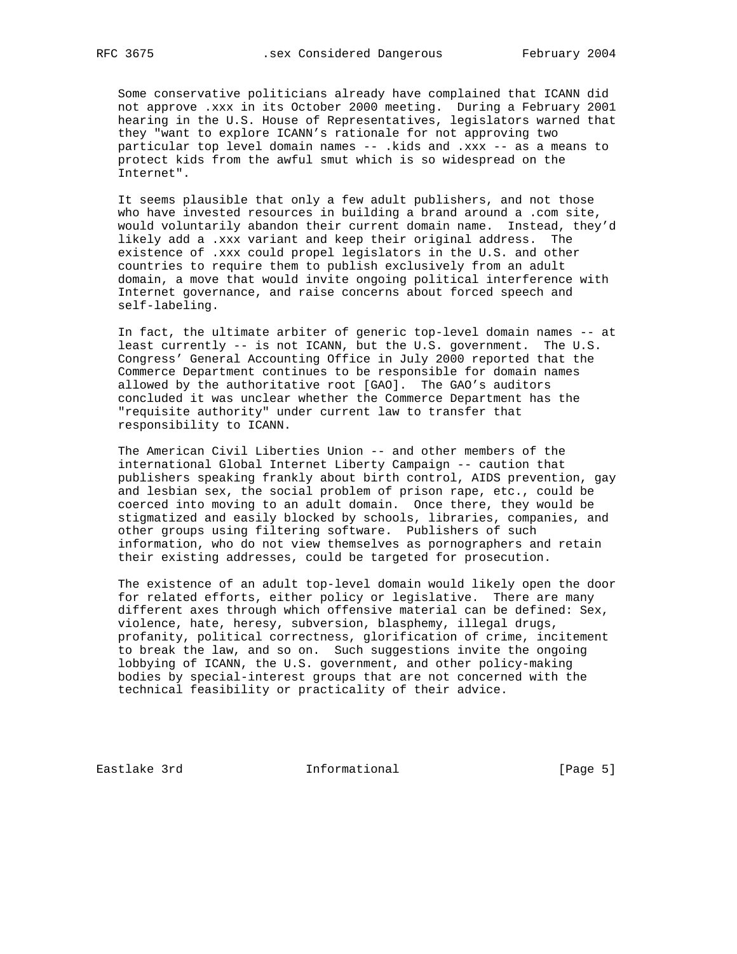Some conservative politicians already have complained that ICANN did not approve .xxx in its October 2000 meeting. During a February 2001 hearing in the U.S. House of Representatives, legislators warned that they "want to explore ICANN's rationale for not approving two particular top level domain names -- .kids and .xxx -- as a means to protect kids from the awful smut which is so widespread on the Internet".

 It seems plausible that only a few adult publishers, and not those who have invested resources in building a brand around a .com site, would voluntarily abandon their current domain name. Instead, they'd likely add a .xxx variant and keep their original address. The existence of .xxx could propel legislators in the U.S. and other countries to require them to publish exclusively from an adult domain, a move that would invite ongoing political interference with Internet governance, and raise concerns about forced speech and self-labeling.

 In fact, the ultimate arbiter of generic top-level domain names -- at least currently -- is not ICANN, but the U.S. government. The U.S. Congress' General Accounting Office in July 2000 reported that the Commerce Department continues to be responsible for domain names allowed by the authoritative root [GAO]. The GAO's auditors concluded it was unclear whether the Commerce Department has the "requisite authority" under current law to transfer that responsibility to ICANN.

 The American Civil Liberties Union -- and other members of the international Global Internet Liberty Campaign -- caution that publishers speaking frankly about birth control, AIDS prevention, gay and lesbian sex, the social problem of prison rape, etc., could be coerced into moving to an adult domain. Once there, they would be stigmatized and easily blocked by schools, libraries, companies, and other groups using filtering software. Publishers of such information, who do not view themselves as pornographers and retain their existing addresses, could be targeted for prosecution.

 The existence of an adult top-level domain would likely open the door for related efforts, either policy or legislative. There are many different axes through which offensive material can be defined: Sex, violence, hate, heresy, subversion, blasphemy, illegal drugs, profanity, political correctness, glorification of crime, incitement to break the law, and so on. Such suggestions invite the ongoing lobbying of ICANN, the U.S. government, and other policy-making bodies by special-interest groups that are not concerned with the technical feasibility or practicality of their advice.

Eastlake 3rd **Informational** [Page 5]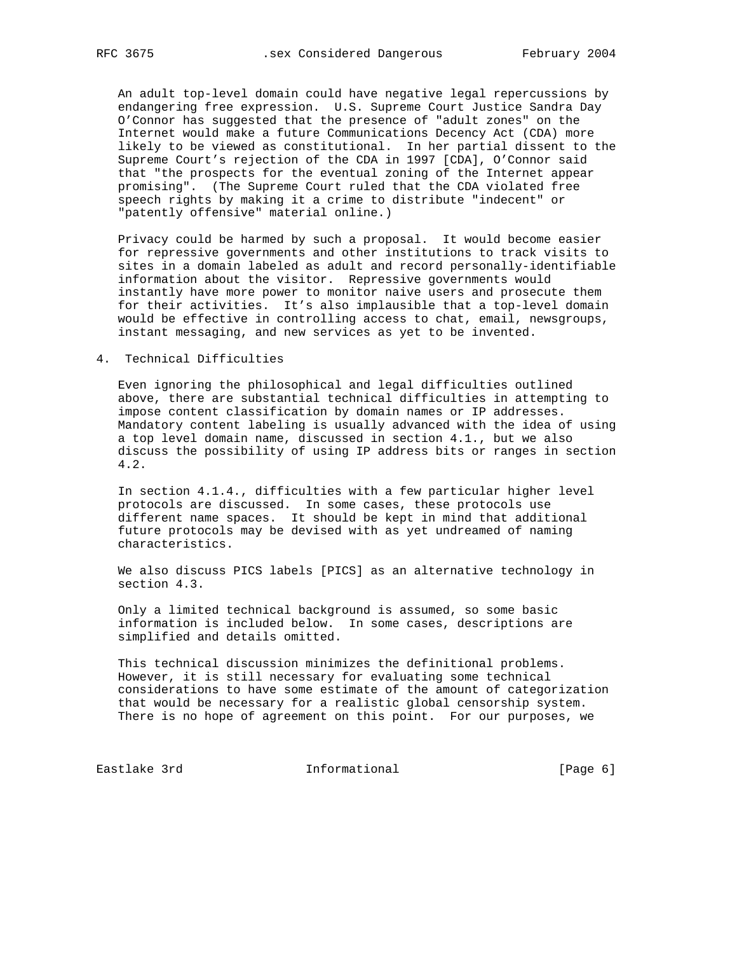An adult top-level domain could have negative legal repercussions by endangering free expression. U.S. Supreme Court Justice Sandra Day O'Connor has suggested that the presence of "adult zones" on the Internet would make a future Communications Decency Act (CDA) more likely to be viewed as constitutional. In her partial dissent to the Supreme Court's rejection of the CDA in 1997 [CDA], O'Connor said that "the prospects for the eventual zoning of the Internet appear promising". (The Supreme Court ruled that the CDA violated free speech rights by making it a crime to distribute "indecent" or "patently offensive" material online.)

 Privacy could be harmed by such a proposal. It would become easier for repressive governments and other institutions to track visits to sites in a domain labeled as adult and record personally-identifiable information about the visitor. Repressive governments would instantly have more power to monitor naive users and prosecute them for their activities. It's also implausible that a top-level domain would be effective in controlling access to chat, email, newsgroups, instant messaging, and new services as yet to be invented.

## 4. Technical Difficulties

 Even ignoring the philosophical and legal difficulties outlined above, there are substantial technical difficulties in attempting to impose content classification by domain names or IP addresses. Mandatory content labeling is usually advanced with the idea of using a top level domain name, discussed in section 4.1., but we also discuss the possibility of using IP address bits or ranges in section 4.2.

 In section 4.1.4., difficulties with a few particular higher level protocols are discussed. In some cases, these protocols use different name spaces. It should be kept in mind that additional future protocols may be devised with as yet undreamed of naming characteristics.

 We also discuss PICS labels [PICS] as an alternative technology in section 4.3.

 Only a limited technical background is assumed, so some basic information is included below. In some cases, descriptions are simplified and details omitted.

 This technical discussion minimizes the definitional problems. However, it is still necessary for evaluating some technical considerations to have some estimate of the amount of categorization that would be necessary for a realistic global censorship system. There is no hope of agreement on this point. For our purposes, we

Eastlake 3rd **Informational** [Page 6]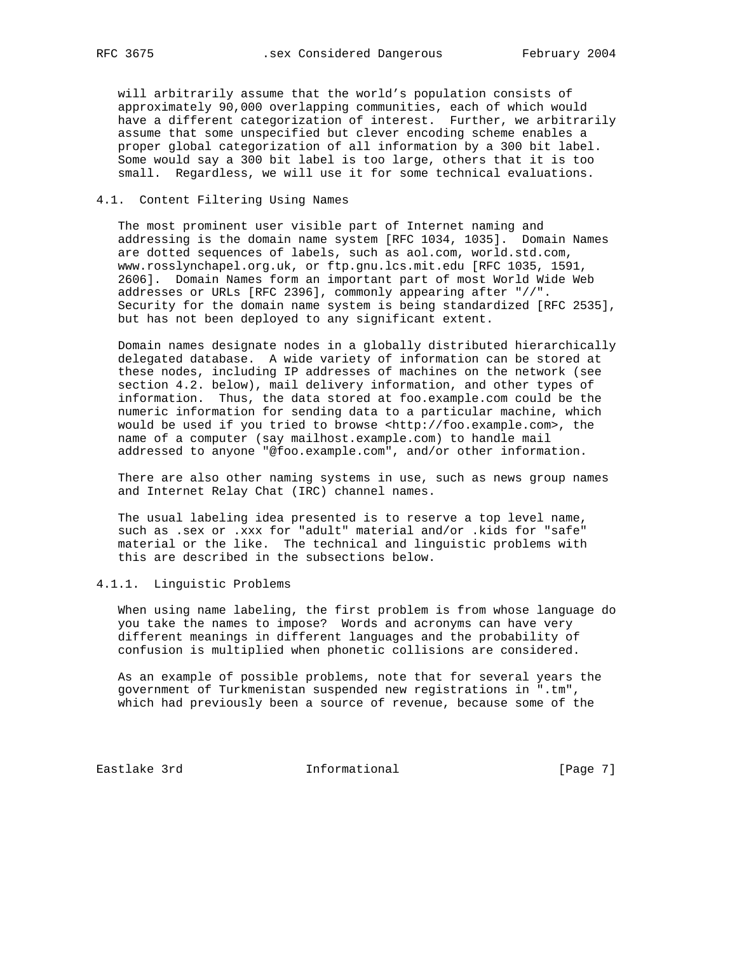will arbitrarily assume that the world's population consists of approximately 90,000 overlapping communities, each of which would have a different categorization of interest. Further, we arbitrarily assume that some unspecified but clever encoding scheme enables a proper global categorization of all information by a 300 bit label. Some would say a 300 bit label is too large, others that it is too small. Regardless, we will use it for some technical evaluations.

### 4.1. Content Filtering Using Names

 The most prominent user visible part of Internet naming and addressing is the domain name system [RFC 1034, 1035]. Domain Names are dotted sequences of labels, such as aol.com, world.std.com, www.rosslynchapel.org.uk, or ftp.gnu.lcs.mit.edu [RFC 1035, 1591, 2606]. Domain Names form an important part of most World Wide Web addresses or URLs [RFC 2396], commonly appearing after "//". Security for the domain name system is being standardized [RFC 2535], but has not been deployed to any significant extent.

 Domain names designate nodes in a globally distributed hierarchically delegated database. A wide variety of information can be stored at these nodes, including IP addresses of machines on the network (see section 4.2. below), mail delivery information, and other types of information. Thus, the data stored at foo.example.com could be the numeric information for sending data to a particular machine, which would be used if you tried to browse <http://foo.example.com>, the name of a computer (say mailhost.example.com) to handle mail addressed to anyone "@foo.example.com", and/or other information.

 There are also other naming systems in use, such as news group names and Internet Relay Chat (IRC) channel names.

 The usual labeling idea presented is to reserve a top level name, such as .sex or .xxx for "adult" material and/or .kids for "safe" material or the like. The technical and linguistic problems with this are described in the subsections below.

# 4.1.1. Linguistic Problems

 When using name labeling, the first problem is from whose language do you take the names to impose? Words and acronyms can have very different meanings in different languages and the probability of confusion is multiplied when phonetic collisions are considered.

 As an example of possible problems, note that for several years the government of Turkmenistan suspended new registrations in ".tm", which had previously been a source of revenue, because some of the

Eastlake 3rd **Informational** [Page 7]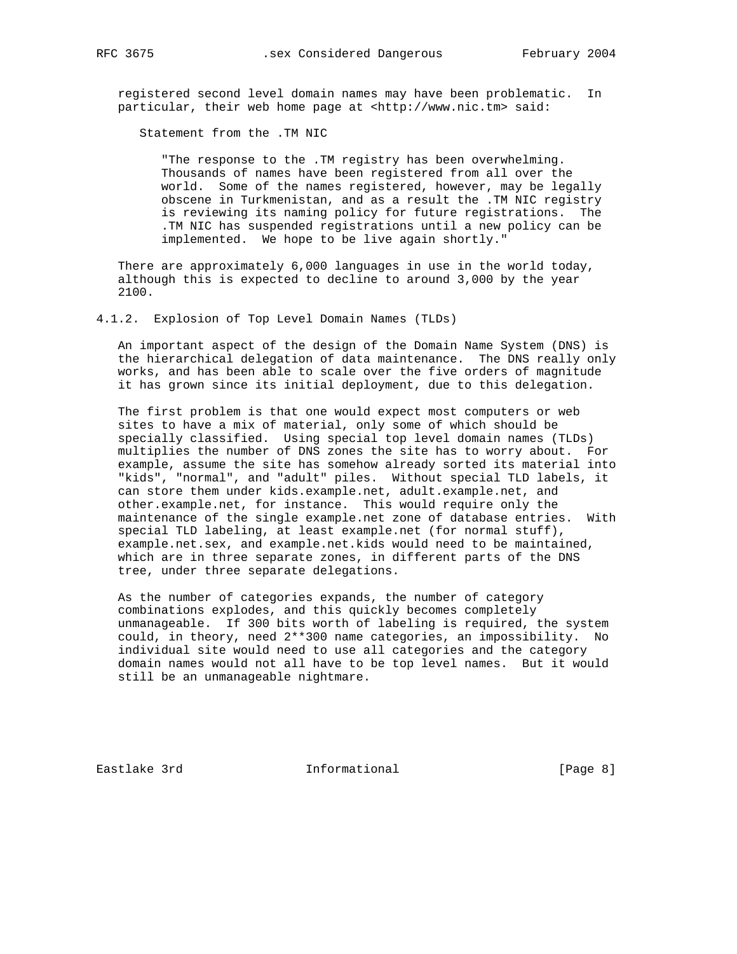registered second level domain names may have been problematic. In particular, their web home page at <http://www.nic.tm> said:

Statement from the .TM NIC

 "The response to the .TM registry has been overwhelming. Thousands of names have been registered from all over the world. Some of the names registered, however, may be legally obscene in Turkmenistan, and as a result the .TM NIC registry is reviewing its naming policy for future registrations. The .TM NIC has suspended registrations until a new policy can be implemented. We hope to be live again shortly."

 There are approximately 6,000 languages in use in the world today, although this is expected to decline to around 3,000 by the year 2100.

4.1.2. Explosion of Top Level Domain Names (TLDs)

 An important aspect of the design of the Domain Name System (DNS) is the hierarchical delegation of data maintenance. The DNS really only works, and has been able to scale over the five orders of magnitude it has grown since its initial deployment, due to this delegation.

 The first problem is that one would expect most computers or web sites to have a mix of material, only some of which should be specially classified. Using special top level domain names (TLDs) multiplies the number of DNS zones the site has to worry about. For example, assume the site has somehow already sorted its material into "kids", "normal", and "adult" piles. Without special TLD labels, it can store them under kids.example.net, adult.example.net, and other.example.net, for instance. This would require only the maintenance of the single example.net zone of database entries. With special TLD labeling, at least example.net (for normal stuff), example.net.sex, and example.net.kids would need to be maintained, which are in three separate zones, in different parts of the DNS tree, under three separate delegations.

 As the number of categories expands, the number of category combinations explodes, and this quickly becomes completely unmanageable. If 300 bits worth of labeling is required, the system could, in theory, need 2\*\*300 name categories, an impossibility. No individual site would need to use all categories and the category domain names would not all have to be top level names. But it would still be an unmanageable nightmare.

Eastlake 3rd **Informational** [Page 8]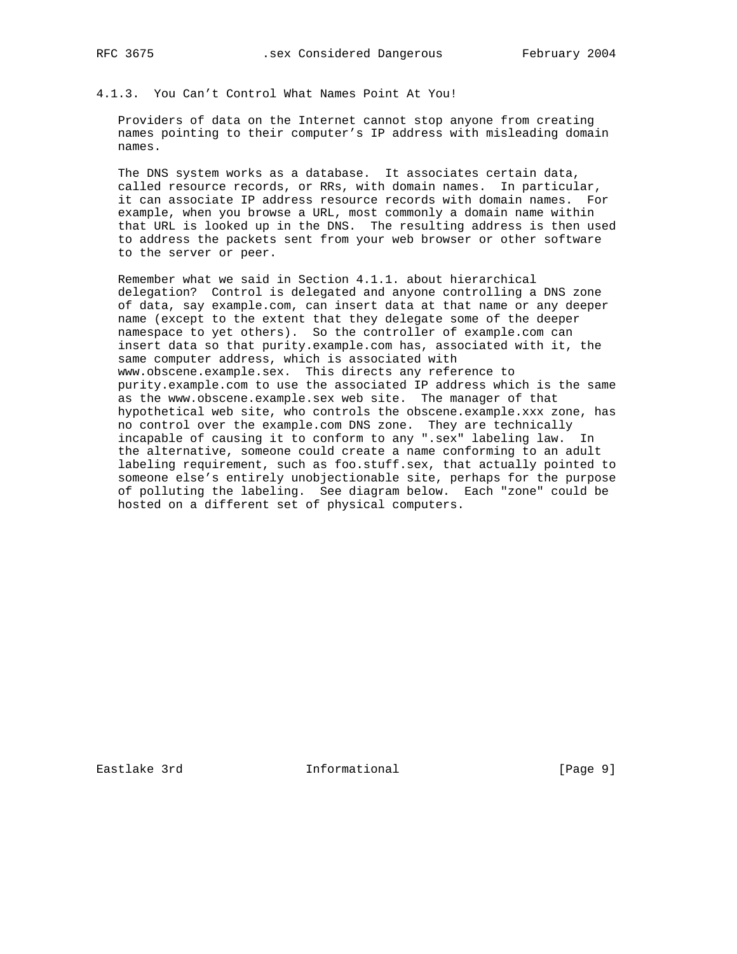# 4.1.3. You Can't Control What Names Point At You!

 Providers of data on the Internet cannot stop anyone from creating names pointing to their computer's IP address with misleading domain names.

 The DNS system works as a database. It associates certain data, called resource records, or RRs, with domain names. In particular, it can associate IP address resource records with domain names. For example, when you browse a URL, most commonly a domain name within that URL is looked up in the DNS. The resulting address is then used to address the packets sent from your web browser or other software to the server or peer.

 Remember what we said in Section 4.1.1. about hierarchical delegation? Control is delegated and anyone controlling a DNS zone of data, say example.com, can insert data at that name or any deeper name (except to the extent that they delegate some of the deeper namespace to yet others). So the controller of example.com can insert data so that purity.example.com has, associated with it, the same computer address, which is associated with www.obscene.example.sex. This directs any reference to purity.example.com to use the associated IP address which is the same as the www.obscene.example.sex web site. The manager of that hypothetical web site, who controls the obscene.example.xxx zone, has no control over the example.com DNS zone. They are technically incapable of causing it to conform to any ".sex" labeling law. In the alternative, someone could create a name conforming to an adult labeling requirement, such as foo.stuff.sex, that actually pointed to someone else's entirely unobjectionable site, perhaps for the purpose of polluting the labeling. See diagram below. Each "zone" could be hosted on a different set of physical computers.

Eastlake 3rd **Informational** [Page 9]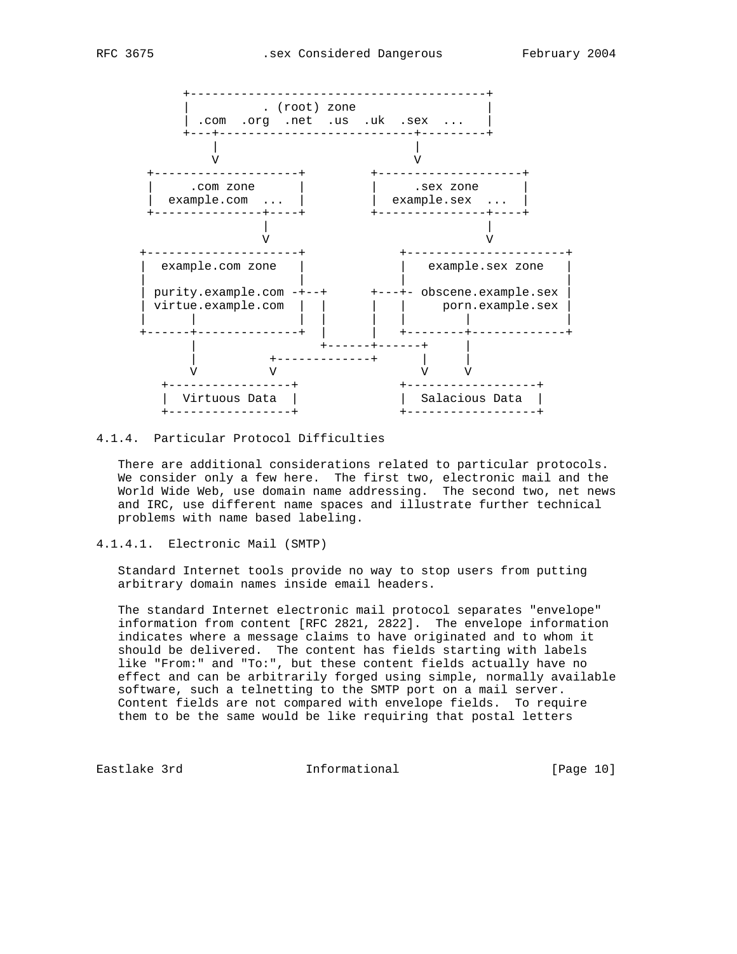



# 4.1.4. Particular Protocol Difficulties

 There are additional considerations related to particular protocols. We consider only a few here. The first two, electronic mail and the World Wide Web, use domain name addressing. The second two, net news and IRC, use different name spaces and illustrate further technical problems with name based labeling.

4.1.4.1. Electronic Mail (SMTP)

 Standard Internet tools provide no way to stop users from putting arbitrary domain names inside email headers.

 The standard Internet electronic mail protocol separates "envelope" information from content [RFC 2821, 2822]. The envelope information indicates where a message claims to have originated and to whom it should be delivered. The content has fields starting with labels like "From:" and "To:", but these content fields actually have no effect and can be arbitrarily forged using simple, normally available software, such a telnetting to the SMTP port on a mail server. Content fields are not compared with envelope fields. To require them to be the same would be like requiring that postal letters

Eastlake 3rd **Informational** [Page 10]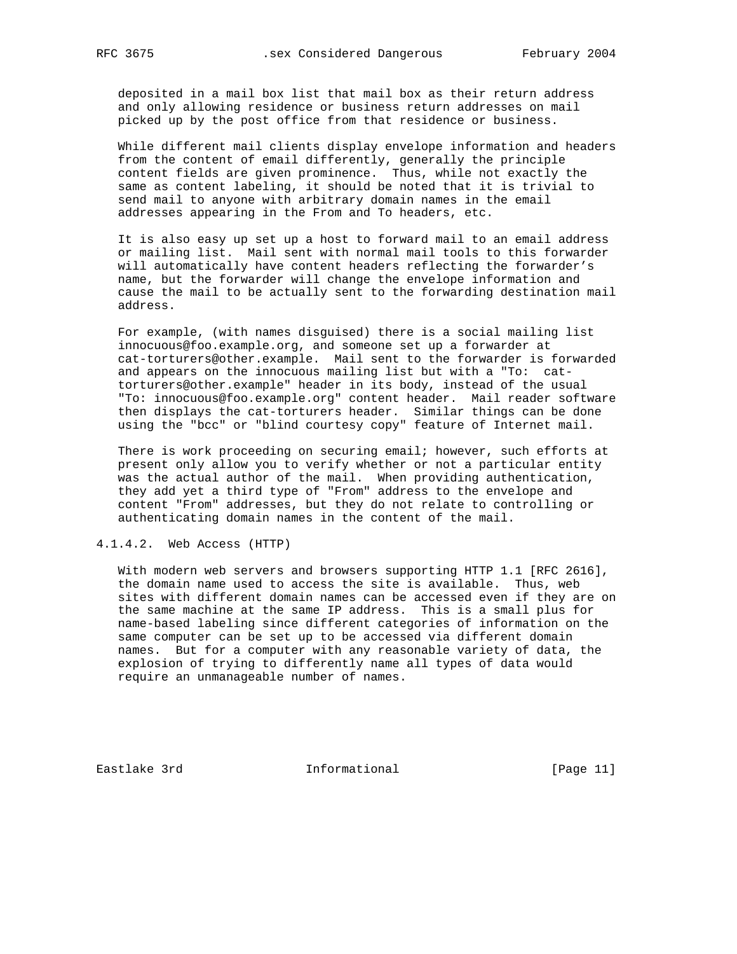deposited in a mail box list that mail box as their return address and only allowing residence or business return addresses on mail picked up by the post office from that residence or business.

 While different mail clients display envelope information and headers from the content of email differently, generally the principle content fields are given prominence. Thus, while not exactly the same as content labeling, it should be noted that it is trivial to send mail to anyone with arbitrary domain names in the email addresses appearing in the From and To headers, etc.

 It is also easy up set up a host to forward mail to an email address or mailing list. Mail sent with normal mail tools to this forwarder will automatically have content headers reflecting the forwarder's name, but the forwarder will change the envelope information and cause the mail to be actually sent to the forwarding destination mail address.

 For example, (with names disguised) there is a social mailing list innocuous@foo.example.org, and someone set up a forwarder at cat-torturers@other.example. Mail sent to the forwarder is forwarded and appears on the innocuous mailing list but with a "To: cat torturers@other.example" header in its body, instead of the usual "To: innocuous@foo.example.org" content header. Mail reader software then displays the cat-torturers header. Similar things can be done using the "bcc" or "blind courtesy copy" feature of Internet mail.

 There is work proceeding on securing email; however, such efforts at present only allow you to verify whether or not a particular entity was the actual author of the mail. When providing authentication, they add yet a third type of "From" address to the envelope and content "From" addresses, but they do not relate to controlling or authenticating domain names in the content of the mail.

### 4.1.4.2. Web Access (HTTP)

With modern web servers and browsers supporting HTTP 1.1 [RFC 2616], the domain name used to access the site is available. Thus, web sites with different domain names can be accessed even if they are on the same machine at the same IP address. This is a small plus for name-based labeling since different categories of information on the same computer can be set up to be accessed via different domain names. But for a computer with any reasonable variety of data, the explosion of trying to differently name all types of data would require an unmanageable number of names.

Eastlake 3rd **Informational** [Page 11]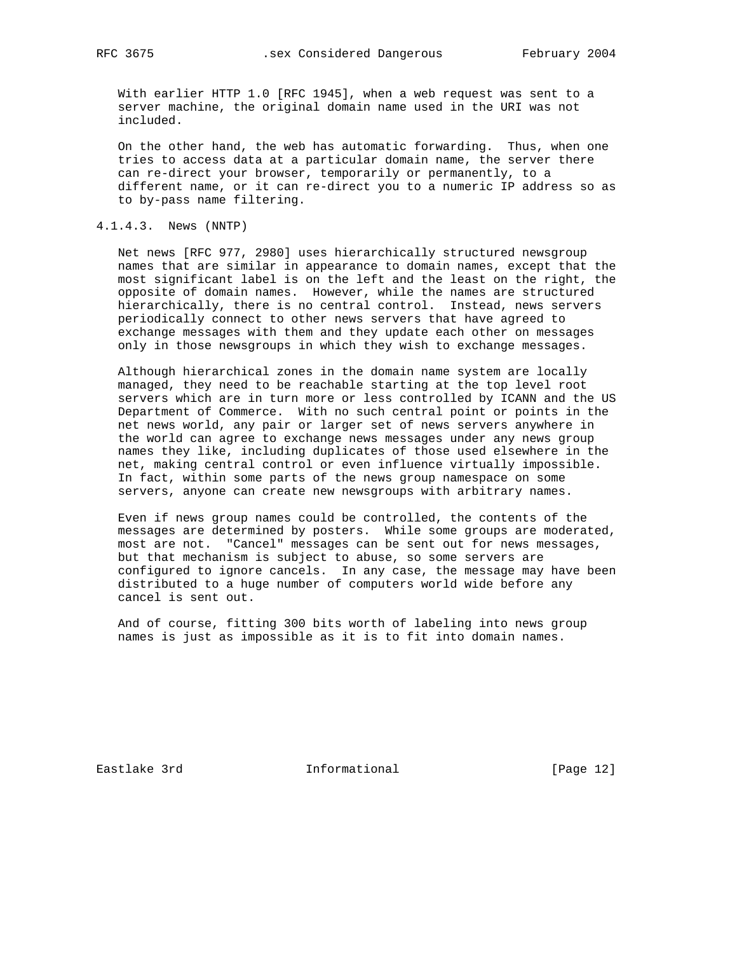With earlier HTTP 1.0 [RFC 1945], when a web request was sent to a server machine, the original domain name used in the URI was not included.

 On the other hand, the web has automatic forwarding. Thus, when one tries to access data at a particular domain name, the server there can re-direct your browser, temporarily or permanently, to a different name, or it can re-direct you to a numeric IP address so as to by-pass name filtering.

#### 4.1.4.3. News (NNTP)

 Net news [RFC 977, 2980] uses hierarchically structured newsgroup names that are similar in appearance to domain names, except that the most significant label is on the left and the least on the right, the opposite of domain names. However, while the names are structured hierarchically, there is no central control. Instead, news servers periodically connect to other news servers that have agreed to exchange messages with them and they update each other on messages only in those newsgroups in which they wish to exchange messages.

 Although hierarchical zones in the domain name system are locally managed, they need to be reachable starting at the top level root servers which are in turn more or less controlled by ICANN and the US Department of Commerce. With no such central point or points in the net news world, any pair or larger set of news servers anywhere in the world can agree to exchange news messages under any news group names they like, including duplicates of those used elsewhere in the net, making central control or even influence virtually impossible. In fact, within some parts of the news group namespace on some servers, anyone can create new newsgroups with arbitrary names.

 Even if news group names could be controlled, the contents of the messages are determined by posters. While some groups are moderated, most are not. "Cancel" messages can be sent out for news messages, but that mechanism is subject to abuse, so some servers are configured to ignore cancels. In any case, the message may have been distributed to a huge number of computers world wide before any cancel is sent out.

 And of course, fitting 300 bits worth of labeling into news group names is just as impossible as it is to fit into domain names.

Eastlake 3rd **Informational** [Page 12]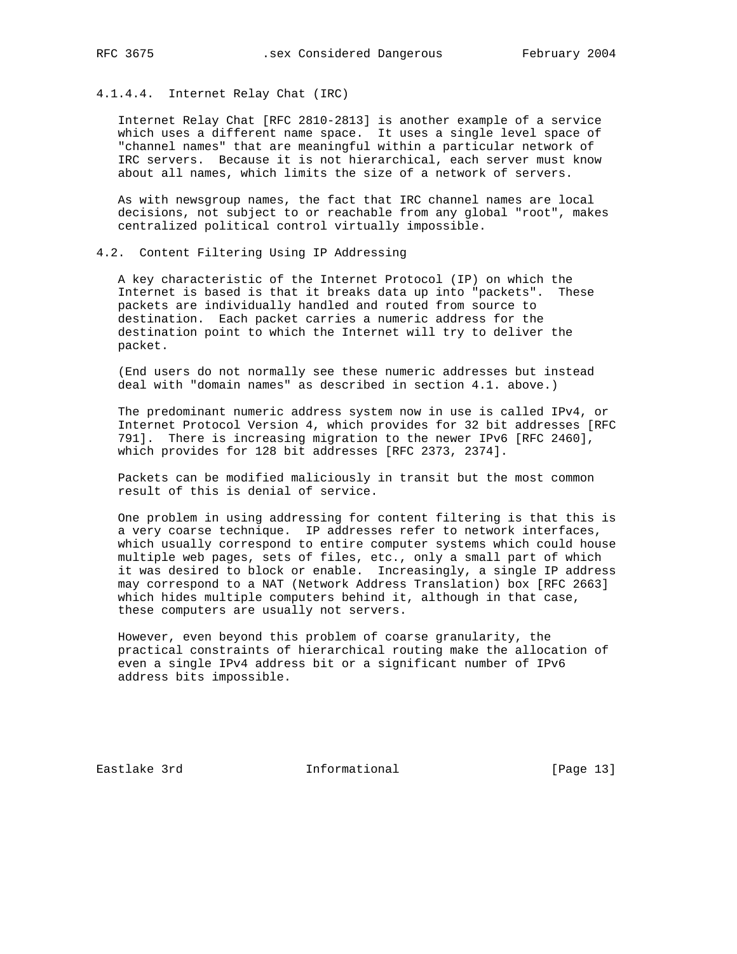# 4.1.4.4. Internet Relay Chat (IRC)

 Internet Relay Chat [RFC 2810-2813] is another example of a service which uses a different name space. It uses a single level space of "channel names" that are meaningful within a particular network of IRC servers. Because it is not hierarchical, each server must know about all names, which limits the size of a network of servers.

 As with newsgroup names, the fact that IRC channel names are local decisions, not subject to or reachable from any global "root", makes centralized political control virtually impossible.

# 4.2. Content Filtering Using IP Addressing

 A key characteristic of the Internet Protocol (IP) on which the Internet is based is that it breaks data up into "packets". These packets are individually handled and routed from source to destination. Each packet carries a numeric address for the destination point to which the Internet will try to deliver the packet.

 (End users do not normally see these numeric addresses but instead deal with "domain names" as described in section 4.1. above.)

 The predominant numeric address system now in use is called IPv4, or Internet Protocol Version 4, which provides for 32 bit addresses [RFC 791]. There is increasing migration to the newer IPv6 [RFC 2460], which provides for 128 bit addresses [RFC 2373, 2374].

 Packets can be modified maliciously in transit but the most common result of this is denial of service.

 One problem in using addressing for content filtering is that this is a very coarse technique. IP addresses refer to network interfaces, which usually correspond to entire computer systems which could house multiple web pages, sets of files, etc., only a small part of which it was desired to block or enable. Increasingly, a single IP address may correspond to a NAT (Network Address Translation) box [RFC 2663] which hides multiple computers behind it, although in that case, these computers are usually not servers.

 However, even beyond this problem of coarse granularity, the practical constraints of hierarchical routing make the allocation of even a single IPv4 address bit or a significant number of IPv6 address bits impossible.

Eastlake 3rd **Informational** [Page 13]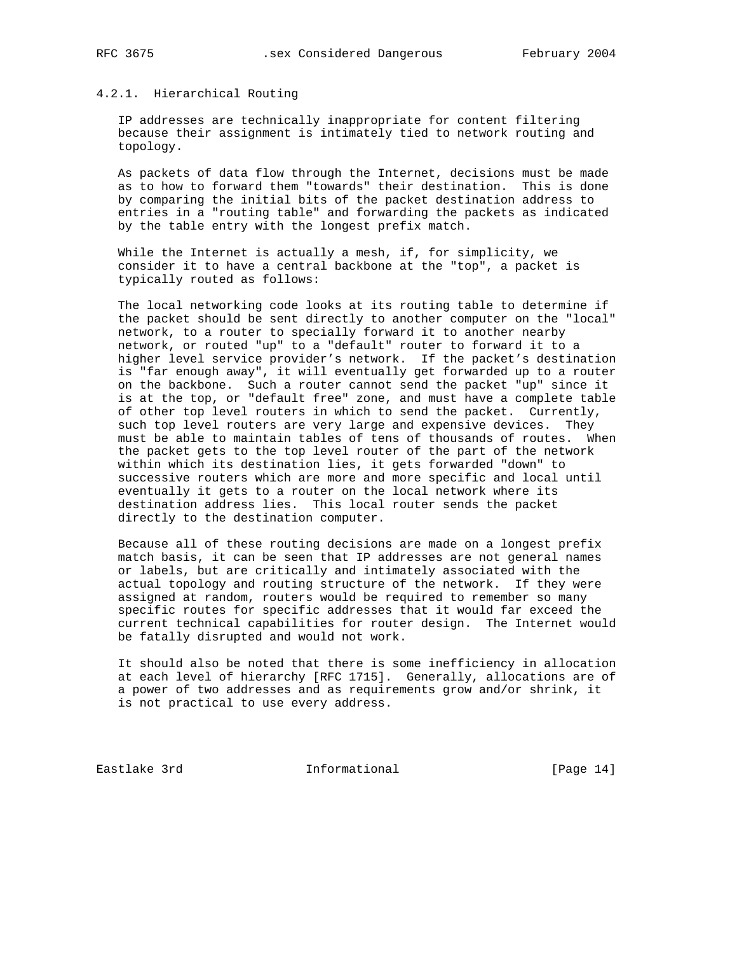# 4.2.1. Hierarchical Routing

 IP addresses are technically inappropriate for content filtering because their assignment is intimately tied to network routing and topology.

 As packets of data flow through the Internet, decisions must be made as to how to forward them "towards" their destination. This is done by comparing the initial bits of the packet destination address to entries in a "routing table" and forwarding the packets as indicated by the table entry with the longest prefix match.

 While the Internet is actually a mesh, if, for simplicity, we consider it to have a central backbone at the "top", a packet is typically routed as follows:

 The local networking code looks at its routing table to determine if the packet should be sent directly to another computer on the "local" network, to a router to specially forward it to another nearby network, or routed "up" to a "default" router to forward it to a higher level service provider's network. If the packet's destination is "far enough away", it will eventually get forwarded up to a router on the backbone. Such a router cannot send the packet "up" since it is at the top, or "default free" zone, and must have a complete table of other top level routers in which to send the packet. Currently, such top level routers are very large and expensive devices. They must be able to maintain tables of tens of thousands of routes. When the packet gets to the top level router of the part of the network within which its destination lies, it gets forwarded "down" to successive routers which are more and more specific and local until eventually it gets to a router on the local network where its destination address lies. This local router sends the packet directly to the destination computer.

 Because all of these routing decisions are made on a longest prefix match basis, it can be seen that IP addresses are not general names or labels, but are critically and intimately associated with the actual topology and routing structure of the network. If they were assigned at random, routers would be required to remember so many specific routes for specific addresses that it would far exceed the current technical capabilities for router design. The Internet would be fatally disrupted and would not work.

 It should also be noted that there is some inefficiency in allocation at each level of hierarchy [RFC 1715]. Generally, allocations are of a power of two addresses and as requirements grow and/or shrink, it is not practical to use every address.

Eastlake 3rd **Informational** [Page 14]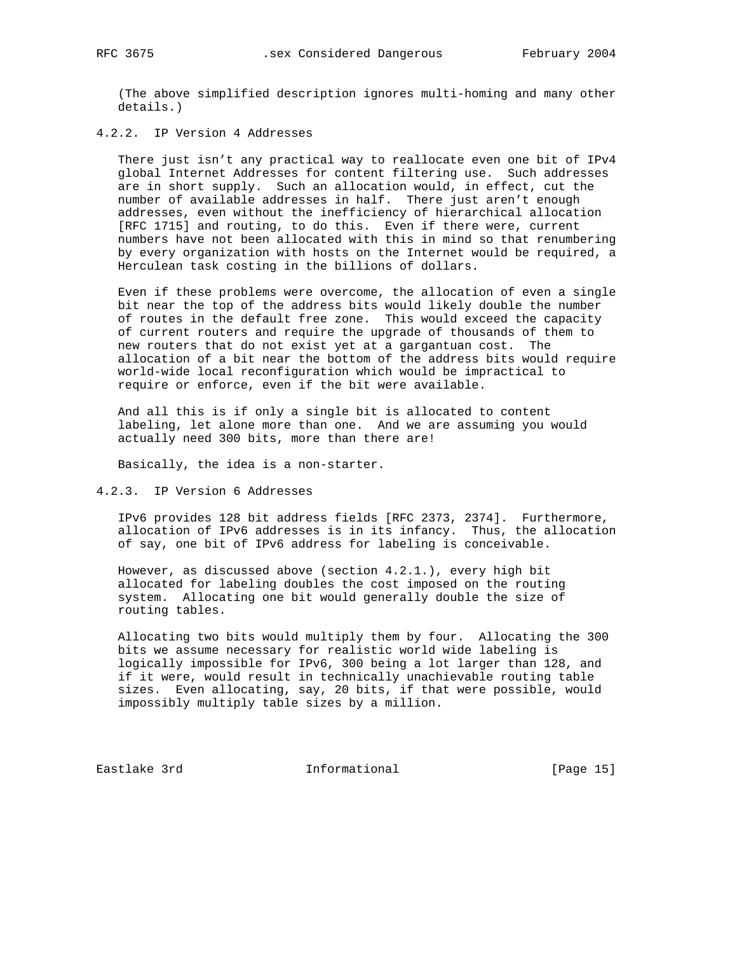(The above simplified description ignores multi-homing and many other details.)

4.2.2. IP Version 4 Addresses

 There just isn't any practical way to reallocate even one bit of IPv4 global Internet Addresses for content filtering use. Such addresses are in short supply. Such an allocation would, in effect, cut the number of available addresses in half. There just aren't enough addresses, even without the inefficiency of hierarchical allocation [RFC 1715] and routing, to do this. Even if there were, current numbers have not been allocated with this in mind so that renumbering by every organization with hosts on the Internet would be required, a Herculean task costing in the billions of dollars.

 Even if these problems were overcome, the allocation of even a single bit near the top of the address bits would likely double the number of routes in the default free zone. This would exceed the capacity of current routers and require the upgrade of thousands of them to new routers that do not exist yet at a gargantuan cost. The allocation of a bit near the bottom of the address bits would require world-wide local reconfiguration which would be impractical to require or enforce, even if the bit were available.

 And all this is if only a single bit is allocated to content labeling, let alone more than one. And we are assuming you would actually need 300 bits, more than there are!

Basically, the idea is a non-starter.

4.2.3. IP Version 6 Addresses

 IPv6 provides 128 bit address fields [RFC 2373, 2374]. Furthermore, allocation of IPv6 addresses is in its infancy. Thus, the allocation of say, one bit of IPv6 address for labeling is conceivable.

 However, as discussed above (section 4.2.1.), every high bit allocated for labeling doubles the cost imposed on the routing system. Allocating one bit would generally double the size of routing tables.

 Allocating two bits would multiply them by four. Allocating the 300 bits we assume necessary for realistic world wide labeling is logically impossible for IPv6, 300 being a lot larger than 128, and if it were, would result in technically unachievable routing table sizes. Even allocating, say, 20 bits, if that were possible, would impossibly multiply table sizes by a million.

Eastlake 3rd **Informational** [Page 15]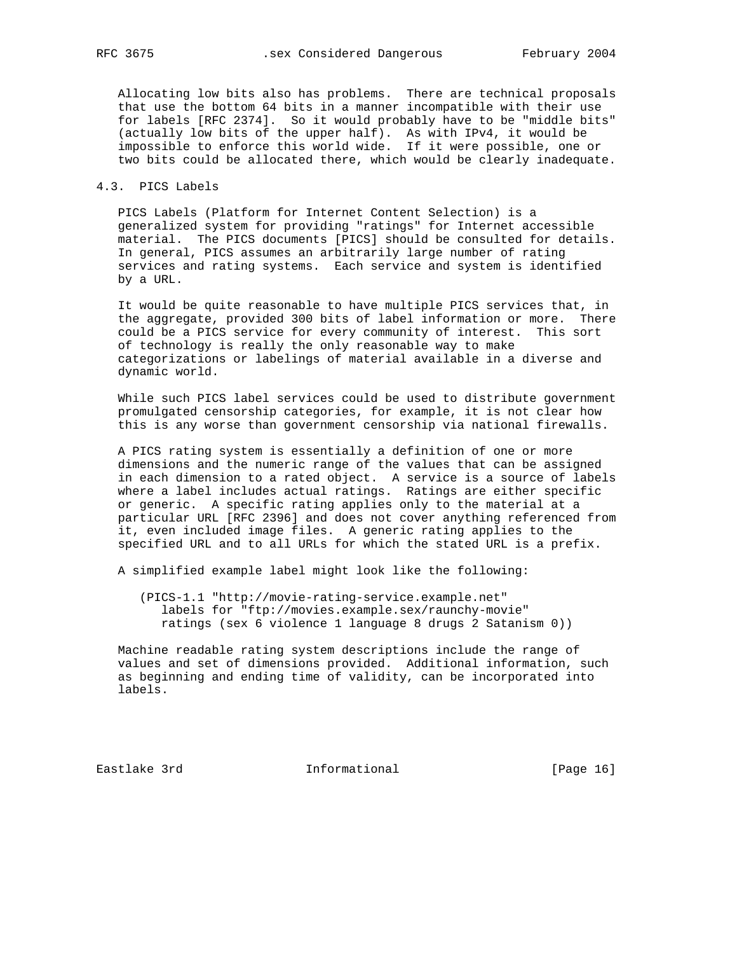Allocating low bits also has problems. There are technical proposals that use the bottom 64 bits in a manner incompatible with their use for labels [RFC 2374]. So it would probably have to be "middle bits" (actually low bits of the upper half). As with IPv4, it would be impossible to enforce this world wide. If it were possible, one or two bits could be allocated there, which would be clearly inadequate.

## 4.3. PICS Labels

 PICS Labels (Platform for Internet Content Selection) is a generalized system for providing "ratings" for Internet accessible material. The PICS documents [PICS] should be consulted for details. In general, PICS assumes an arbitrarily large number of rating services and rating systems. Each service and system is identified by a URL.

 It would be quite reasonable to have multiple PICS services that, in the aggregate, provided 300 bits of label information or more. There could be a PICS service for every community of interest. This sort of technology is really the only reasonable way to make categorizations or labelings of material available in a diverse and dynamic world.

 While such PICS label services could be used to distribute government promulgated censorship categories, for example, it is not clear how this is any worse than government censorship via national firewalls.

 A PICS rating system is essentially a definition of one or more dimensions and the numeric range of the values that can be assigned in each dimension to a rated object. A service is a source of labels where a label includes actual ratings. Ratings are either specific or generic. A specific rating applies only to the material at a particular URL [RFC 2396] and does not cover anything referenced from it, even included image files. A generic rating applies to the specified URL and to all URLs for which the stated URL is a prefix.

A simplified example label might look like the following:

 (PICS-1.1 "http://movie-rating-service.example.net" labels for "ftp://movies.example.sex/raunchy-movie" ratings (sex 6 violence 1 language 8 drugs 2 Satanism 0))

 Machine readable rating system descriptions include the range of values and set of dimensions provided. Additional information, such as beginning and ending time of validity, can be incorporated into labels.

Eastlake 3rd **Informational** [Page 16]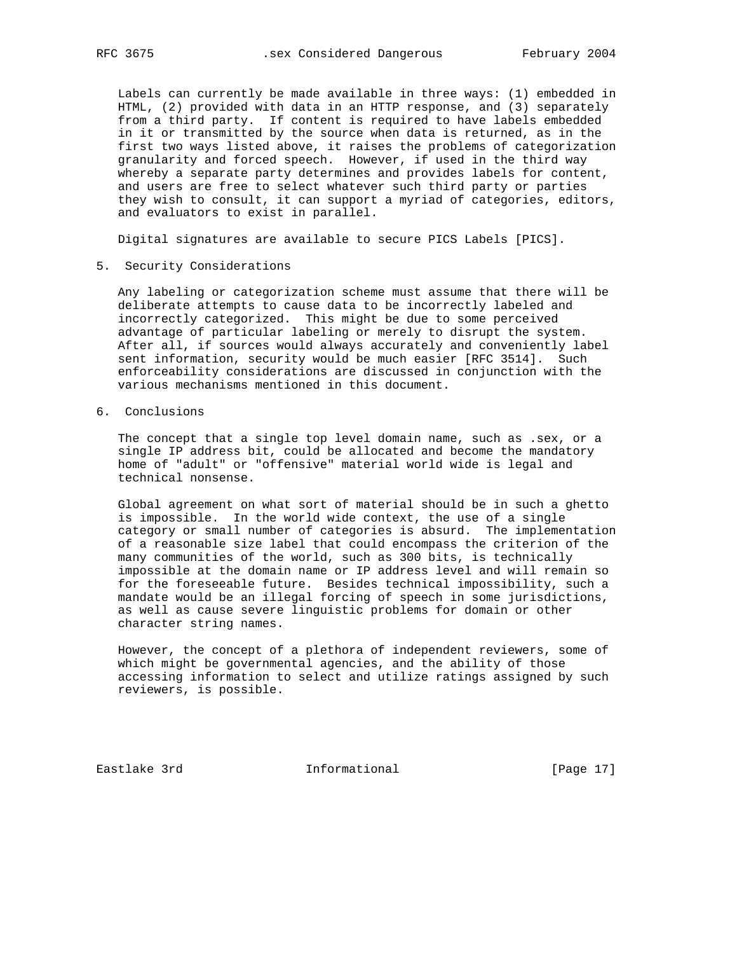Labels can currently be made available in three ways: (1) embedded in HTML, (2) provided with data in an HTTP response, and (3) separately from a third party. If content is required to have labels embedded in it or transmitted by the source when data is returned, as in the first two ways listed above, it raises the problems of categorization granularity and forced speech. However, if used in the third way whereby a separate party determines and provides labels for content, and users are free to select whatever such third party or parties they wish to consult, it can support a myriad of categories, editors, and evaluators to exist in parallel.

Digital signatures are available to secure PICS Labels [PICS].

5. Security Considerations

 Any labeling or categorization scheme must assume that there will be deliberate attempts to cause data to be incorrectly labeled and incorrectly categorized. This might be due to some perceived advantage of particular labeling or merely to disrupt the system. After all, if sources would always accurately and conveniently label sent information, security would be much easier [RFC 3514]. Such enforceability considerations are discussed in conjunction with the various mechanisms mentioned in this document.

6. Conclusions

 The concept that a single top level domain name, such as .sex, or a single IP address bit, could be allocated and become the mandatory home of "adult" or "offensive" material world wide is legal and technical nonsense.

 Global agreement on what sort of material should be in such a ghetto is impossible. In the world wide context, the use of a single category or small number of categories is absurd. The implementation of a reasonable size label that could encompass the criterion of the many communities of the world, such as 300 bits, is technically impossible at the domain name or IP address level and will remain so for the foreseeable future. Besides technical impossibility, such a mandate would be an illegal forcing of speech in some jurisdictions, as well as cause severe linguistic problems for domain or other character string names.

 However, the concept of a plethora of independent reviewers, some of which might be governmental agencies, and the ability of those accessing information to select and utilize ratings assigned by such reviewers, is possible.

Eastlake 3rd **Informational** [Page 17]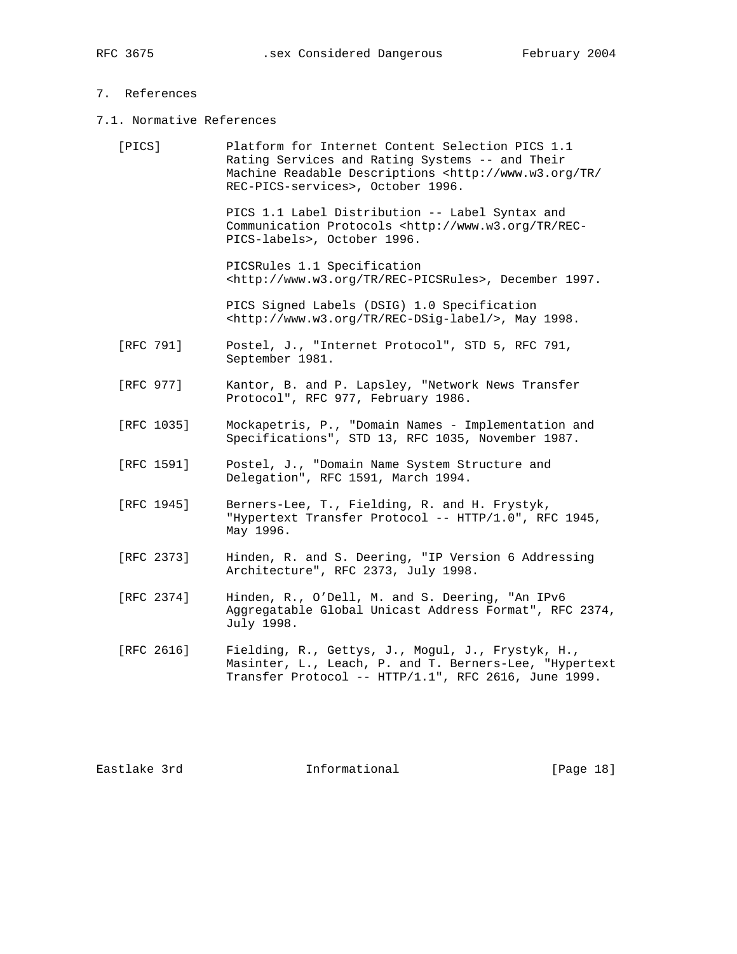# 7. References

7.1. Normative References

| [PICS]     | Platform for Internet Content Selection PICS 1.1<br>Rating Services and Rating Systems -- and Their<br>Machine Readable Descriptions <http: <br="" tr="" www.w3.org="">REC-PICS-services&gt;, October 1996.</http:> |
|------------|---------------------------------------------------------------------------------------------------------------------------------------------------------------------------------------------------------------------|
|            | PICS 1.1 Label Distribution -- Label Syntax and<br>Communication Protocols <http: rec-<br="" tr="" www.w3.org="">PICS-labels&gt;, October 1996.</http:>                                                             |
|            | PICSRules 1.1 Specification<br><http: rec-picsrules="" tr="" www.w3.org="">, December 1997.</http:>                                                                                                                 |
|            | PICS Signed Labels (DSIG) 1.0 Specification<br><http: rec-dsig-label="" tr="" www.w3.org=""></http:> , May 1998.                                                                                                    |
| [RFC 791]  | Postel, J., "Internet Protocol", STD 5, RFC 791,<br>September 1981.                                                                                                                                                 |
| [RFC 977]  | Kantor, B. and P. Lapsley, "Network News Transfer<br>Protocol", RFC 977, February 1986.                                                                                                                             |
| [RFC 1035] | Mockapetris, P., "Domain Names - Implementation and<br>Specifications", STD 13, RFC 1035, November 1987.                                                                                                            |
| [RFC 1591] | Postel, J., "Domain Name System Structure and<br>Delegation", RFC 1591, March 1994.                                                                                                                                 |
| [RFC 1945] | Berners-Lee, T., Fielding, R. and H. Frystyk,<br>"Hypertext Transfer Protocol -- HTTP/1.0", RFC 1945,<br>May 1996.                                                                                                  |
| [RFC 2373] | Hinden, R. and S. Deering, "IP Version 6 Addressing<br>Architecture", RFC 2373, July 1998.                                                                                                                          |
| [RFC 2374] | Hinden, R., O'Dell, M. and S. Deering, "An IPv6<br>Aggregatable Global Unicast Address Format", RFC 2374,<br>July 1998.                                                                                             |
| [RFC 2616] | Fielding, R., Gettys, J., Mogul, J., Frystyk, H.,<br>Masinter, L., Leach, P. and T. Berners-Lee, "Hypertext                                                                                                         |

Eastlake 3rd **Informational** [Page 18]

Transfer Protocol -- HTTP/1.1", RFC 2616, June 1999.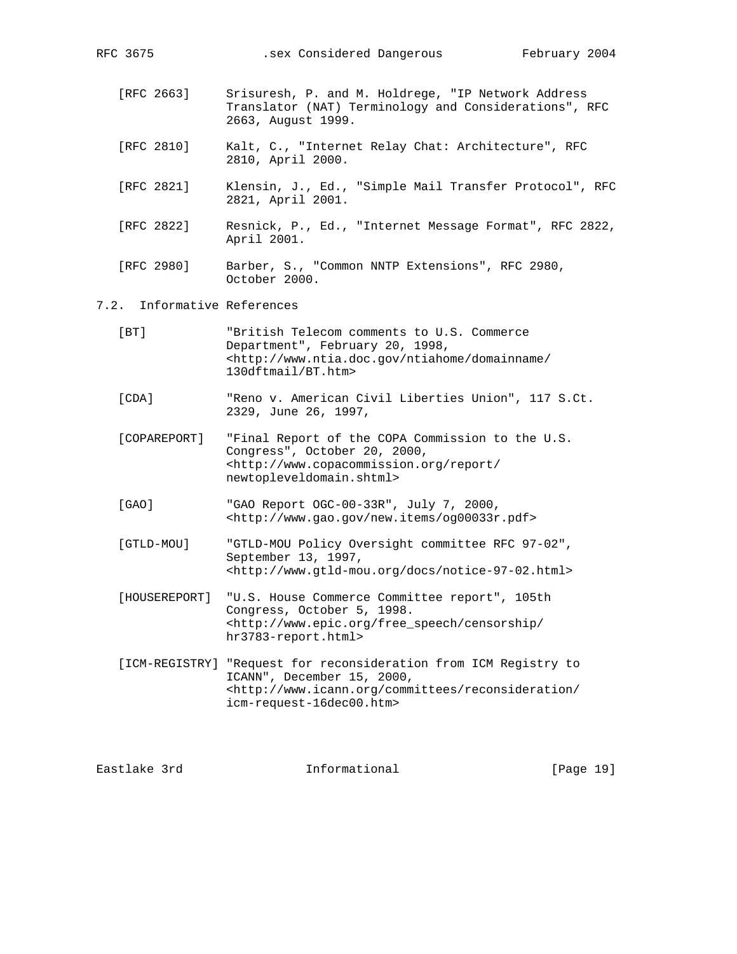| [RFC 2663] | Srisuresh, P. and M. Holdrege, "IP Network Address<br>Translator (NAT) Terminology and Considerations", RFC<br>2663, August 1999. |
|------------|-----------------------------------------------------------------------------------------------------------------------------------|
| [RFC 2810] | Kalt, C., "Internet Relay Chat: Architecture", RFC<br>2810, April 2000.                                                           |
| FRFC 28211 | Klensin, J., Ed., "Simple Mail Transfer Protocol", RFC<br>2821, April 2001.                                                       |
| FRFC 28221 | Resnick, P., Ed., "Internet Message Format", RFC 2822,<br>April 2001.                                                             |
| FRFC 29801 | Barber, S., "Common NNTP Extensions", RFC 2980,<br>October 2000.                                                                  |

RFC 3675 .sex Considered Dangerous February 2004

# 7.2. Informative References

| [BT]          | "British Telecom comments to U.S. Commerce"<br>Department", February 20, 1998,<br><http: <br="" domainname="" ntiahome="" www.ntia.doc.gov="">130dftmail/BT.htm&gt;</http:>                           |
|---------------|-------------------------------------------------------------------------------------------------------------------------------------------------------------------------------------------------------|
| [CDA]         | "Reno v. American Civil Liberties Union", 117 S.Ct.<br>2329, June 26, 1997,                                                                                                                           |
| [COPAREPORT]  | "Final Report of the COPA Commission to the U.S.<br>Congress", October 20, 2000,<br><http: <br="" report="" www.copacommission.org="">newtopleveldomain.shtml&gt;</http:>                             |
| [GAO]         | "GAO Report OGC-00-33R", July 7, 2000,<br><http: new.items="" og00033r.pdf="" www.gao.gov=""></http:>                                                                                                 |
| [GTLD-MOU]    | "GTLD-MOU Policy Oversight committee RFC 97-02",<br>September 13, 1997,<br><http: docs="" notice-97-02.html="" www.qtld-mou.org=""></http:>                                                           |
| [HOUSEREPORT] | "U.S. House Commerce Committee report", 105th<br>Congress, October 5, 1998.<br><http: <br="" censorship="" free="" speech="" www.epic.org="">hr3783-report.html&gt;</http:>                           |
|               | [ICM-REGISTRY] "Request for reconsideration from ICM Registry to<br>ICANN", December 15, 2000,<br><http: <br="" committees="" reconsideration="" www.icann.org="">icm-request-16dec00.htm&gt;</http:> |

Eastlake 3rd **Informational** [Page 19]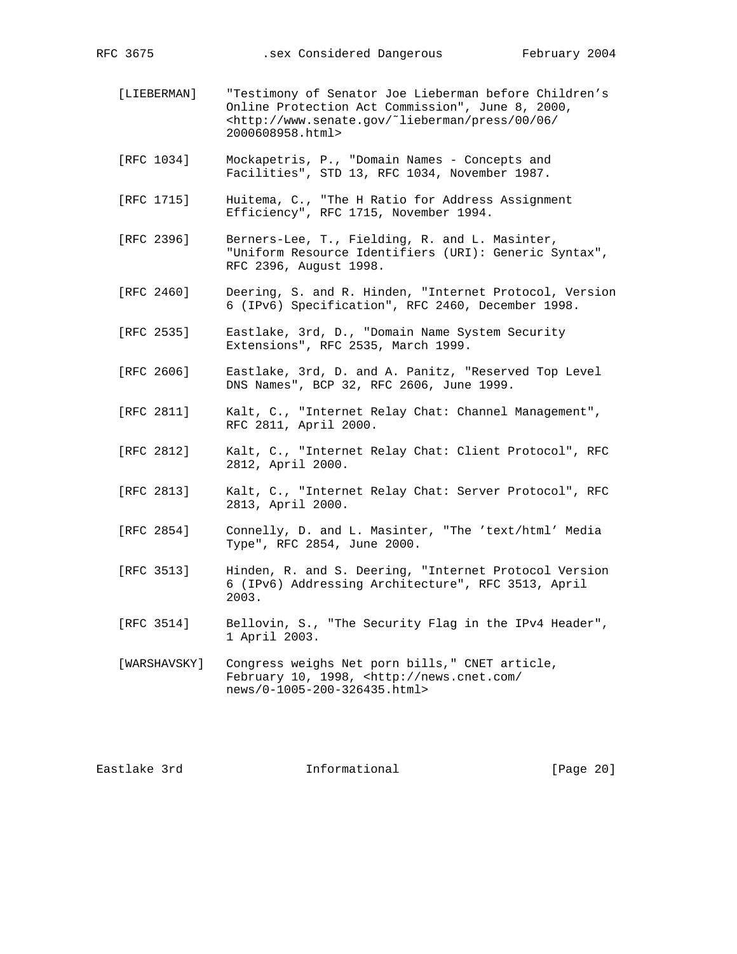- [LIEBERMAN] "Testimony of Senator Joe Lieberman before Children's Online Protection Act Commission", June 8, 2000, <http://www.senate.gov/˜lieberman/press/00/06/ 2000608958.html>
- [RFC 1034] Mockapetris, P., "Domain Names Concepts and Facilities", STD 13, RFC 1034, November 1987.
- [RFC 1715] Huitema, C., "The H Ratio for Address Assignment Efficiency", RFC 1715, November 1994.
- [RFC 2396] Berners-Lee, T., Fielding, R. and L. Masinter, "Uniform Resource Identifiers (URI): Generic Syntax", RFC 2396, August 1998.
- [RFC 2460] Deering, S. and R. Hinden, "Internet Protocol, Version 6 (IPv6) Specification", RFC 2460, December 1998.
- [RFC 2535] Eastlake, 3rd, D., "Domain Name System Security Extensions", RFC 2535, March 1999.
- [RFC 2606] Eastlake, 3rd, D. and A. Panitz, "Reserved Top Level DNS Names", BCP 32, RFC 2606, June 1999.
- [RFC 2811] Kalt, C., "Internet Relay Chat: Channel Management", RFC 2811, April 2000.
- [RFC 2812] Kalt, C., "Internet Relay Chat: Client Protocol", RFC 2812, April 2000.
- [RFC 2813] Kalt, C., "Internet Relay Chat: Server Protocol", RFC 2813, April 2000.
- [RFC 2854] Connelly, D. and L. Masinter, "The 'text/html' Media Type", RFC 2854, June 2000.
- [RFC 3513] Hinden, R. and S. Deering, "Internet Protocol Version 6 (IPv6) Addressing Architecture", RFC 3513, April 2003.
- [RFC 3514] Bellovin, S., "The Security Flag in the IPv4 Header", 1 April 2003.
- [WARSHAVSKY] Congress weighs Net porn bills," CNET article, February 10, 1998, <http://news.cnet.com/ news/0-1005-200-326435.html>

Eastlake 3rd Informational [Page 20]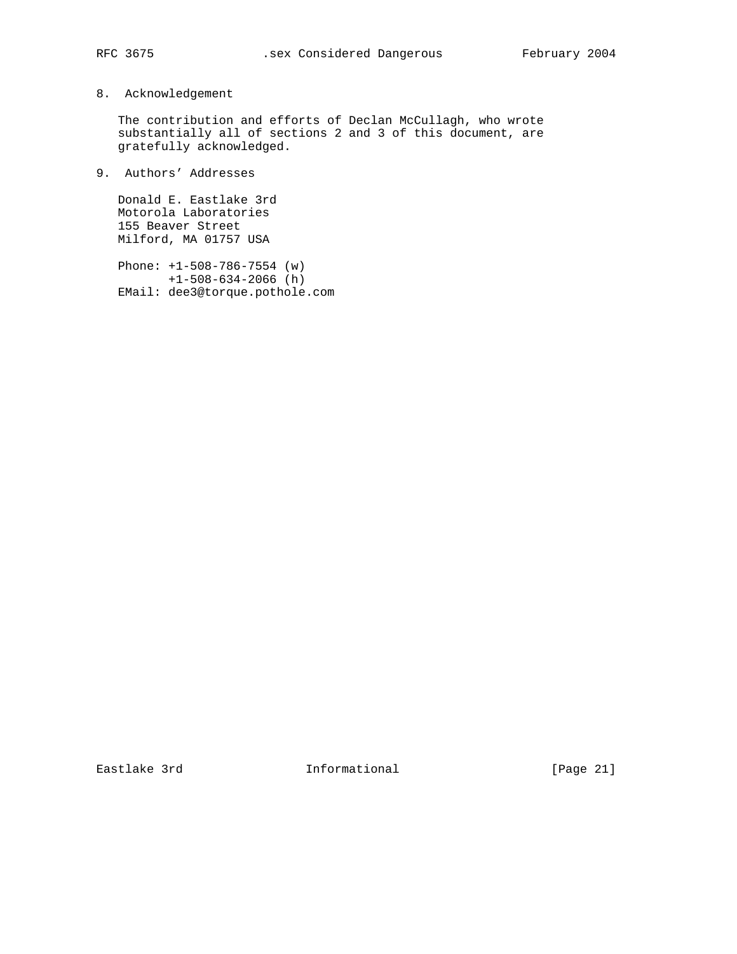# 8. Acknowledgement

 The contribution and efforts of Declan McCullagh, who wrote substantially all of sections 2 and 3 of this document, are gratefully acknowledged.

9. Authors' Addresses

 Donald E. Eastlake 3rd Motorola Laboratories 155 Beaver Street Milford, MA 01757 USA

 Phone: +1-508-786-7554 (w) +1-508-634-2066 (h) EMail: dee3@torque.pothole.com

Eastlake 3rd **Informational** [Page 21]